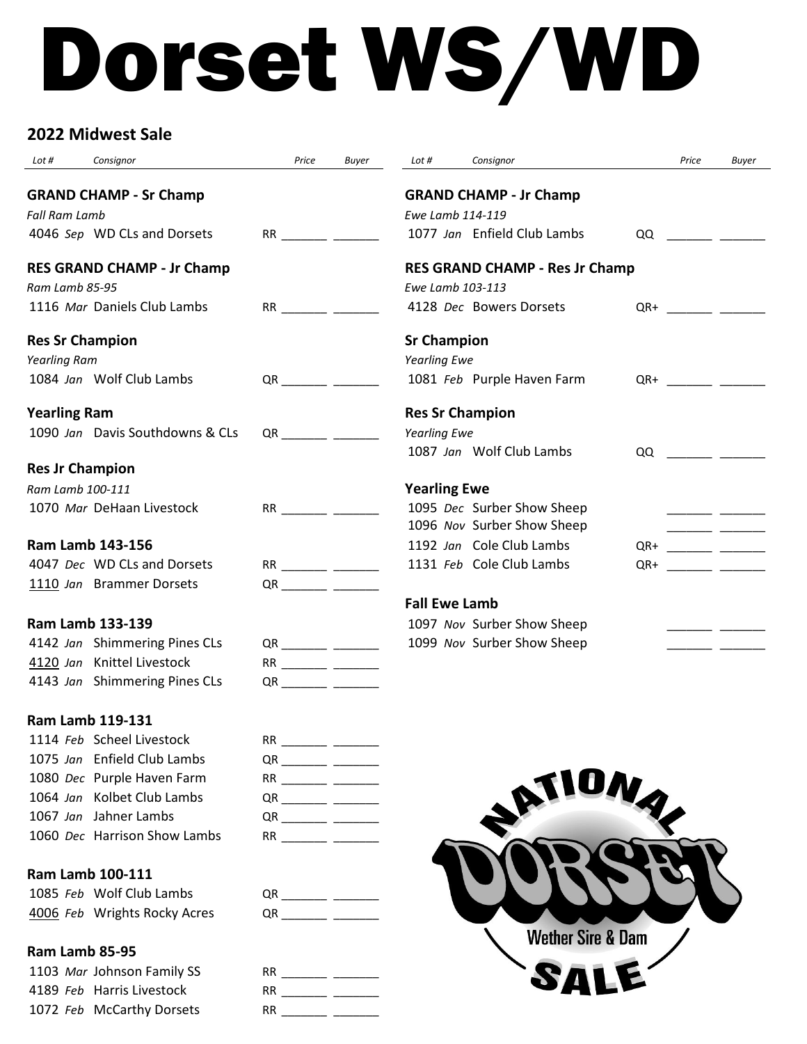# Dorset WS/WD

# **2022 Midwest Sale**

| Lot #<br>Consignor                                          | Price                 | <b>Buyer</b> | Lot #                  | Consignor                             |     | Price                                                                                                                                                                                                                                | <b>Buyer</b> |
|-------------------------------------------------------------|-----------------------|--------------|------------------------|---------------------------------------|-----|--------------------------------------------------------------------------------------------------------------------------------------------------------------------------------------------------------------------------------------|--------------|
| <b>GRAND CHAMP - Sr Champ</b><br><b>Fall Ram Lamb</b>       |                       |              | Ewe Lamb 114-119       | <b>GRAND CHAMP - Jr Champ</b>         |     |                                                                                                                                                                                                                                      |              |
| 4046 Sep WD CLs and Dorsets                                 |                       |              |                        | 1077 Jan Enfield Club Lambs           | QQ  | <u> Linda a Carl</u>                                                                                                                                                                                                                 |              |
| <b>RES GRAND CHAMP - Jr Champ</b><br>Ram Lamb 85-95         |                       |              | Ewe Lamb 103-113       | <b>RES GRAND CHAMP - Res Jr Champ</b> |     |                                                                                                                                                                                                                                      |              |
| 1116 Mar Daniels Club Lambs                                 |                       |              |                        | 4128 Dec Bowers Dorsets               | QR+ |                                                                                                                                                                                                                                      |              |
| <b>Res Sr Champion</b>                                      |                       |              | <b>Sr Champion</b>     |                                       |     |                                                                                                                                                                                                                                      |              |
| <b>Yearling Ram</b>                                         |                       |              | <b>Yearling Ewe</b>    |                                       |     |                                                                                                                                                                                                                                      |              |
| 1084 Jan Wolf Club Lambs                                    | QR <b>CONTROL</b>     |              |                        | 1081 Feb Purple Haven Farm            |     | $QR+$                                                                                                                                                                                                                                |              |
| <b>Yearling Ram</b>                                         |                       |              | <b>Res Sr Champion</b> |                                       |     |                                                                                                                                                                                                                                      |              |
| 1090 Jan Davis Southdowns & CLs                             | QR <b>CONTINUES</b>   |              | <b>Yearling Ewe</b>    |                                       |     |                                                                                                                                                                                                                                      |              |
|                                                             |                       |              |                        | 1087 Jan Wolf Club Lambs              | QQ  |                                                                                                                                                                                                                                      |              |
| <b>Res Jr Champion</b>                                      |                       |              |                        |                                       |     |                                                                                                                                                                                                                                      |              |
| Ram Lamb 100-111                                            |                       |              | <b>Yearling Ewe</b>    |                                       |     |                                                                                                                                                                                                                                      |              |
| 1070 Mar DeHaan Livestock                                   |                       |              |                        | 1095 Dec Surber Show Sheep            |     |                                                                                                                                                                                                                                      |              |
|                                                             |                       |              |                        | 1096 Nov Surber Show Sheep            |     |                                                                                                                                                                                                                                      |              |
| <b>Ram Lamb 143-156</b>                                     |                       |              |                        | 1192 Jan Cole Club Lambs              | QR+ |                                                                                                                                                                                                                                      |              |
| 4047 Dec WD CLs and Dorsets                                 | RR ________ _______   |              |                        | 1131 Feb Cole Club Lambs              | QR+ | <u> 1999 - Andrea Station Books and the Books and the Books and the Books and the Books and the Books and the Books and the Books and the Books and the Books and the Books and the Books and the Books and the Books and the Bo</u> |              |
| 1110 Jan Brammer Dorsets                                    |                       |              | <b>Fall Ewe Lamb</b>   |                                       |     |                                                                                                                                                                                                                                      |              |
| <b>Ram Lamb 133-139</b>                                     |                       |              |                        |                                       |     |                                                                                                                                                                                                                                      |              |
|                                                             |                       |              |                        | 1097 Nov Surber Show Sheep            |     |                                                                                                                                                                                                                                      |              |
| 4142 Jan Shimmering Pines CLs<br>4120 Jan Knittel Livestock | QR ________ ______    |              |                        | 1099 Nov Surber Show Sheep            |     | <u> 2002 - 200</u>                                                                                                                                                                                                                   |              |
| 4143 Jan Shimmering Pines CLs                               |                       |              |                        |                                       |     |                                                                                                                                                                                                                                      |              |
|                                                             | QR ________ ______    |              |                        |                                       |     |                                                                                                                                                                                                                                      |              |
| Ram Lamb 119-131                                            |                       |              |                        |                                       |     |                                                                                                                                                                                                                                      |              |
| 1114 Feb Scheel Livestock                                   |                       |              |                        |                                       |     |                                                                                                                                                                                                                                      |              |
| 1075 Jan Enfield Club Lambs                                 |                       |              |                        |                                       |     |                                                                                                                                                                                                                                      |              |
| 1080 Dec Purple Haven Farm                                  |                       |              |                        |                                       |     |                                                                                                                                                                                                                                      |              |
| 1064 Jan Kolbet Club Lambs                                  |                       |              |                        |                                       |     |                                                                                                                                                                                                                                      |              |
| 1067 Jan Jahner Lambs                                       |                       |              |                        |                                       |     |                                                                                                                                                                                                                                      |              |
| 1060 Dec Harrison Show Lambs                                |                       |              |                        |                                       |     |                                                                                                                                                                                                                                      |              |
|                                                             |                       |              |                        |                                       |     |                                                                                                                                                                                                                                      |              |
| Ram Lamb 100-111                                            |                       |              |                        |                                       |     |                                                                                                                                                                                                                                      |              |
| 1085 Feb Wolf Club Lambs                                    |                       |              |                        |                                       |     |                                                                                                                                                                                                                                      |              |
| 4006 Feb Wrights Rocky Acres                                | $QR \longrightarrow$  |              |                        | <b>Wether Sire &amp; Dam</b>          |     |                                                                                                                                                                                                                                      |              |
| Ram Lamb 85-95                                              |                       |              |                        |                                       |     |                                                                                                                                                                                                                                      |              |
| 1103 Mar Johnson Family SS                                  | RR __________ _______ |              |                        |                                       |     |                                                                                                                                                                                                                                      |              |
| 4189 Feb Harris Livestock                                   |                       |              |                        |                                       |     |                                                                                                                                                                                                                                      |              |
| 1072 Feb McCarthy Dorsets                                   |                       |              |                        |                                       |     |                                                                                                                                                                                                                                      |              |